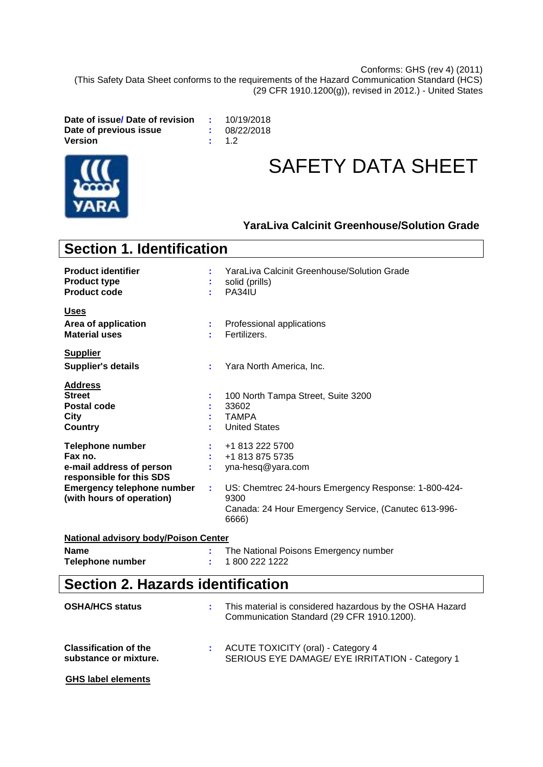Conforms: GHS (rev 4) (2011) (This Safety Data Sheet conforms to the requirements of the Hazard Communication Standard (HCS) (29 CFR 1910.1200(g)), revised in 2012.) - United States

**Date of issue/ Date of revision : 10/19/2018<br><b>Date of previous issue : 08/22/2018 Date of previous issue**  $\qquad$  **: Version :** 1.2



# SAFETY DATA SHEET

### **YaraLiva Calcinit Greenhouse/Solution Grade**

| <b>Section 1. Identification</b>                                                                                                                             |                                                                                                                                                                                                |
|--------------------------------------------------------------------------------------------------------------------------------------------------------------|------------------------------------------------------------------------------------------------------------------------------------------------------------------------------------------------|
| <b>Product identifier</b><br><b>Product type</b><br><b>Product code</b>                                                                                      | YaraLiva Calcinit Greenhouse/Solution Grade<br>solid (prills)<br>t<br>PA34IU<br>٠                                                                                                              |
| <b>Uses</b><br>Area of application<br><b>Material uses</b>                                                                                                   | Professional applications<br>÷<br>Fertilizers.                                                                                                                                                 |
| <b>Supplier</b><br><b>Supplier's details</b>                                                                                                                 | Yara North America, Inc.                                                                                                                                                                       |
| <b>Address</b><br><b>Street</b><br>Postal code<br>City<br><b>Country</b>                                                                                     | 100 North Tampa Street, Suite 3200<br>÷<br>33602<br><b>TAMPA</b><br><b>United States</b>                                                                                                       |
| <b>Telephone number</b><br>Fax no.<br>e-mail address of person<br>responsible for this SDS<br><b>Emergency telephone number</b><br>(with hours of operation) | +1 813 222 5700<br>+1 813 875 5735<br>yna-hesq@yara.com<br>US: Chemtrec 24-hours Emergency Response: 1-800-424-<br>t.<br>9300<br>Canada: 24 Hour Emergency Service, (Canutec 613-996-<br>6666) |
| <b>National advisory body/Poison Center</b>                                                                                                                  |                                                                                                                                                                                                |
| <b>Name</b><br><b>Telephone number</b>                                                                                                                       | The National Poisons Emergency number<br>1800 222 1222                                                                                                                                         |
| <b>Section 2. Hazards identification</b>                                                                                                                     |                                                                                                                                                                                                |

| <b>OSHA/HCS status</b>                                | This material is considered hazardous by the OSHA Hazard<br>Communication Standard (29 CFR 1910.1200). |
|-------------------------------------------------------|--------------------------------------------------------------------------------------------------------|
| <b>Classification of the</b><br>substance or mixture. | <b>ACUTE TOXICITY (oral) - Category 4</b><br>SERIOUS EYE DAMAGE/ EYE IRRITATION - Category 1           |

**GHS label elements**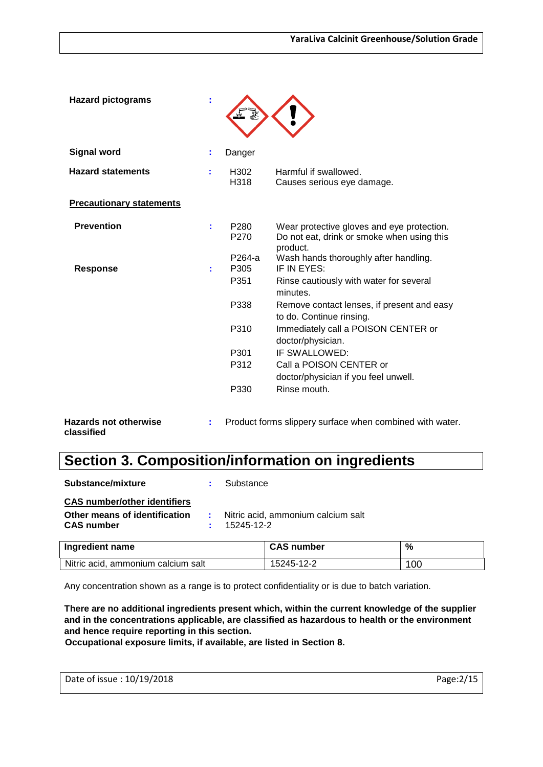| <b>Hazard pictograms</b>                   |   |                          |                                                                                          |
|--------------------------------------------|---|--------------------------|------------------------------------------------------------------------------------------|
| <b>Signal word</b>                         |   | Danger                   |                                                                                          |
| <b>Hazard statements</b>                   | t | H302<br>H318             | Harmful if swallowed.<br>Causes serious eye damage.                                      |
| <b>Precautionary statements</b>            |   |                          |                                                                                          |
| <b>Prevention</b>                          | ÷ | P <sub>280</sub><br>P270 | Wear protective gloves and eye protection.<br>Do not eat, drink or smoke when using this |
| <b>Response</b>                            | t | P264-a<br>P305           | product.<br>Wash hands thoroughly after handling.<br>IF IN EYES:                         |
|                                            |   | P351                     | Rinse cautiously with water for several<br>minutes.                                      |
|                                            |   | P338                     | Remove contact lenses, if present and easy<br>to do. Continue rinsing.                   |
|                                            |   | P310                     | Immediately call a POISON CENTER or<br>doctor/physician.                                 |
|                                            |   | P <sub>301</sub>         | IF SWALLOWED:                                                                            |
|                                            |   | P312                     | Call a POISON CENTER or                                                                  |
|                                            |   |                          | doctor/physician if you feel unwell.                                                     |
|                                            |   | P330                     | Rinse mouth.                                                                             |
| <b>Hazards not otherwise</b><br>classified |   |                          | Product forms slippery surface when combined with water.                                 |

# **Section 3. Composition/information on ingredients**

| <b>Substance/mixture</b>                                                                  | : Substance                                            |
|-------------------------------------------------------------------------------------------|--------------------------------------------------------|
| <b>CAS number/other identifiers</b><br>Other means of identification<br><b>CAS number</b> | : Nitric acid. ammonium calcium salt<br>$: 15245-12-2$ |
|                                                                                           |                                                        |

| Ingredient name                    | <b>CAS number</b> | %   |
|------------------------------------|-------------------|-----|
| Nitric acid, ammonium calcium salt | 15245-12-2        | 100 |

Any concentration shown as a range is to protect confidentiality or is due to batch variation.

**There are no additional ingredients present which, within the current knowledge of the supplier and in the concentrations applicable, are classified as hazardous to health or the environment and hence require reporting in this section.**

**Occupational exposure limits, if available, are listed in Section 8.**

| Date of issue: 10/19/2018 | Page:2/15 |
|---------------------------|-----------|
|                           |           |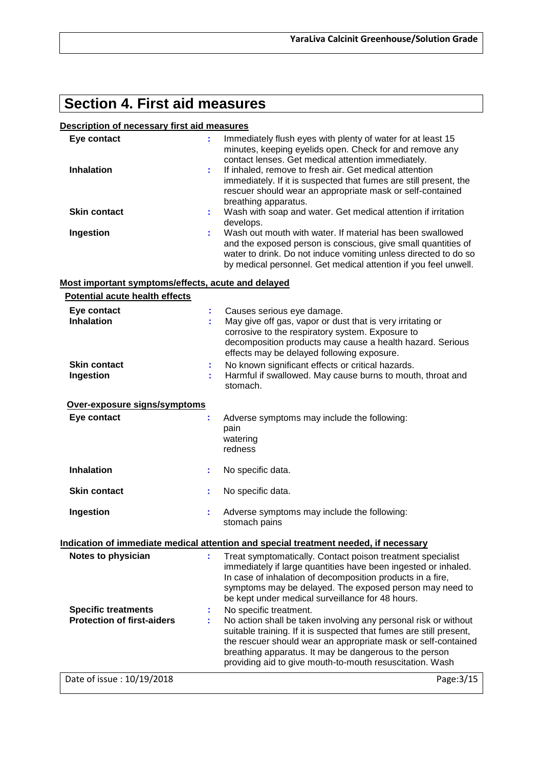# **Section 4. First aid measures**

### **Description of necessary first aid measures**

| Eye contact                                        | t, | Immediately flush eyes with plenty of water for at least 15<br>minutes, keeping eyelids open. Check for and remove any<br>contact lenses. Get medical attention immediately.                                                                                     |
|----------------------------------------------------|----|------------------------------------------------------------------------------------------------------------------------------------------------------------------------------------------------------------------------------------------------------------------|
| <b>Inhalation</b>                                  | ř. | If inhaled, remove to fresh air. Get medical attention<br>immediately. If it is suspected that fumes are still present, the<br>rescuer should wear an appropriate mask or self-contained<br>breathing apparatus.                                                 |
| <b>Skin contact</b>                                | t  | Wash with soap and water. Get medical attention if irritation<br>develops.                                                                                                                                                                                       |
| Ingestion                                          |    | Wash out mouth with water. If material has been swallowed<br>and the exposed person is conscious, give small quantities of<br>water to drink. Do not induce vomiting unless directed to do so<br>by medical personnel. Get medical attention if you feel unwell. |
| Most important symptoms/effects, acute and delayed |    |                                                                                                                                                                                                                                                                  |
|                                                    |    |                                                                                                                                                                                                                                                                  |
| <b>Potential acute health effects</b>              |    |                                                                                                                                                                                                                                                                  |
| Eye contact                                        |    | Causes serious eye damage.                                                                                                                                                                                                                                       |
| <b>Inhalation</b>                                  |    | May give off gas, vapor or dust that is very irritating or<br>corrosive to the respiratory system. Exposure to<br>decomposition products may cause a health hazard. Serious<br>effects may be delayed following exposure.                                        |
| <b>Skin contact</b>                                | ÷  | No known significant effects or critical hazards.                                                                                                                                                                                                                |
| <b>Ingestion</b>                                   |    | Harmful if swallowed. May cause burns to mouth, throat and<br>stomach.                                                                                                                                                                                           |
| Over-exposure signs/symptoms                       |    |                                                                                                                                                                                                                                                                  |

| Lyt contact         | Adverse symptoms may include the following.<br>pain<br>watering<br>redness           |
|---------------------|--------------------------------------------------------------------------------------|
| <b>Inhalation</b>   | No specific data.                                                                    |
| <b>Skin contact</b> | No specific data.                                                                    |
| Ingestion           | Adverse symptoms may include the following:<br>stomach pains                         |
|                     | Indication of immediate medical attention and special treatment needed, if necessary |

| Notes to physician                                              | Treat symptomatically. Contact poison treatment specialist<br>immediately if large quantities have been ingested or inhaled.<br>In case of inhalation of decomposition products in a fire,<br>symptoms may be delayed. The exposed person may need to<br>be kept under medical surveillance for 48 hours.                                               |
|-----------------------------------------------------------------|---------------------------------------------------------------------------------------------------------------------------------------------------------------------------------------------------------------------------------------------------------------------------------------------------------------------------------------------------------|
| <b>Specific treatments</b><br><b>Protection of first-aiders</b> | No specific treatment.<br>No action shall be taken involving any personal risk or without<br>suitable training. If it is suspected that fumes are still present,<br>the rescuer should wear an appropriate mask or self-contained<br>breathing apparatus. It may be dangerous to the person<br>providing aid to give mouth-to-mouth resuscitation. Wash |

Date of issue : 10/19/2018 Page:3/15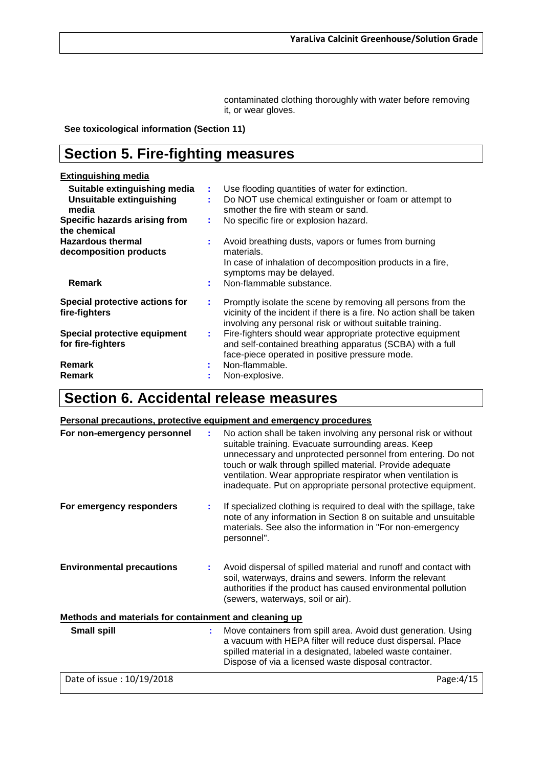contaminated clothing thoroughly with water before removing it, or wear gloves.

**See toxicological information (Section 11)**

## **Section 5. Fire-fighting measures**

| <b>Extinguishing media</b>                                               |    |                                                                                                                                                                                                   |
|--------------------------------------------------------------------------|----|---------------------------------------------------------------------------------------------------------------------------------------------------------------------------------------------------|
| Suitable extinguishing media<br><b>Unsuitable extinguishing</b><br>media | ÷. | Use flooding quantities of water for extinction.<br>Do NOT use chemical extinguisher or foam or attempt to<br>smother the fire with steam or sand.                                                |
| Specific hazards arising from<br>the chemical                            |    | No specific fire or explosion hazard.                                                                                                                                                             |
| <b>Hazardous thermal</b><br>decomposition products                       | ÷  | Avoid breathing dusts, vapors or fumes from burning<br>materials.<br>In case of inhalation of decomposition products in a fire,                                                                   |
| Remark                                                                   |    | symptoms may be delayed.<br>Non-flammable substance.                                                                                                                                              |
| Special protective actions for<br>fire-fighters                          | ÷  | Promptly isolate the scene by removing all persons from the<br>vicinity of the incident if there is a fire. No action shall be taken<br>involving any personal risk or without suitable training. |
| Special protective equipment<br>for fire-fighters                        | ÷. | Fire-fighters should wear appropriate protective equipment<br>and self-contained breathing apparatus (SCBA) with a full<br>face-piece operated in positive pressure mode.                         |
| <b>Remark</b><br><b>Remark</b>                                           |    | Non-flammable.<br>Non-explosive.                                                                                                                                                                  |

# **Section 6. Accidental release measures**

### **Personal precautions, protective equipment and emergency procedures**

| For non-emergency personnel                           |    | No action shall be taken involving any personal risk or without<br>suitable training. Evacuate surrounding areas. Keep<br>unnecessary and unprotected personnel from entering. Do not<br>touch or walk through spilled material. Provide adequate<br>ventilation. Wear appropriate respirator when ventilation is<br>inadequate. Put on appropriate personal protective equipment. |
|-------------------------------------------------------|----|------------------------------------------------------------------------------------------------------------------------------------------------------------------------------------------------------------------------------------------------------------------------------------------------------------------------------------------------------------------------------------|
| For emergency responders                              |    | If specialized clothing is required to deal with the spillage, take<br>note of any information in Section 8 on suitable and unsuitable<br>materials. See also the information in "For non-emergency<br>personnel".                                                                                                                                                                 |
| <b>Environmental precautions</b>                      |    | Avoid dispersal of spilled material and runoff and contact with<br>soil, waterways, drains and sewers. Inform the relevant<br>authorities if the product has caused environmental pollution<br>(sewers, waterways, soil or air).                                                                                                                                                   |
| Methods and materials for containment and cleaning up |    |                                                                                                                                                                                                                                                                                                                                                                                    |
| <b>Small spill</b>                                    | t. | Move containers from spill area. Avoid dust generation. Using<br>a vacuum with HEPA filter will reduce dust dispersal. Place<br>spilled material in a designated, labeled waste container.<br>Dispose of via a licensed waste disposal contractor.                                                                                                                                 |
| Date of issue: 10/19/2018                             |    | Page: 4/15                                                                                                                                                                                                                                                                                                                                                                         |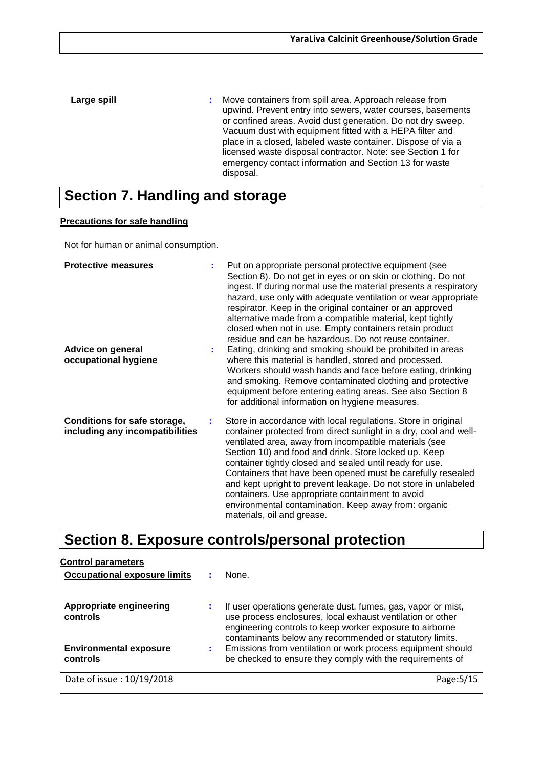**Large spill Example 20 Figure 1 Containers from spill area. Approach release from spill area. Approach release from spill area. Approach release from spill area. Approach release from spill area. Approach release from s** upwind. Prevent entry into sewers, water courses, basements or confined areas. Avoid dust generation. Do not dry sweep. Vacuum dust with equipment fitted with a HEPA filter and place in a closed, labeled waste container. Dispose of via a licensed waste disposal contractor. Note: see Section 1 for emergency contact information and Section 13 for waste disposal.

# **Section 7. Handling and storage**

### **Precautions for safe handling**

Not for human or animal consumption.

| <b>Protective measures</b><br>Advice on general<br>occupational hygiene |    | Put on appropriate personal protective equipment (see<br>Section 8). Do not get in eyes or on skin or clothing. Do not<br>ingest. If during normal use the material presents a respiratory<br>hazard, use only with adequate ventilation or wear appropriate<br>respirator. Keep in the original container or an approved<br>alternative made from a compatible material, kept tightly<br>closed when not in use. Empty containers retain product<br>residue and can be hazardous. Do not reuse container.<br>Eating, drinking and smoking should be prohibited in areas<br>where this material is handled, stored and processed.<br>Workers should wash hands and face before eating, drinking<br>and smoking. Remove contaminated clothing and protective<br>equipment before entering eating areas. See also Section 8<br>for additional information on hygiene measures. |
|-------------------------------------------------------------------------|----|------------------------------------------------------------------------------------------------------------------------------------------------------------------------------------------------------------------------------------------------------------------------------------------------------------------------------------------------------------------------------------------------------------------------------------------------------------------------------------------------------------------------------------------------------------------------------------------------------------------------------------------------------------------------------------------------------------------------------------------------------------------------------------------------------------------------------------------------------------------------------|
| Conditions for safe storage,<br>including any incompatibilities         | ÷. | Store in accordance with local regulations. Store in original<br>container protected from direct sunlight in a dry, cool and well-<br>ventilated area, away from incompatible materials (see<br>Section 10) and food and drink. Store locked up. Keep<br>container tightly closed and sealed until ready for use.<br>Containers that have been opened must be carefully resealed<br>and kept upright to prevent leakage. Do not store in unlabeled<br>containers. Use appropriate containment to avoid<br>environmental contamination. Keep away from: organic<br>materials, oil and grease.                                                                                                                                                                                                                                                                                 |

# **Section 8. Exposure controls/personal protection**

| <b>Control parameters</b>                 |   |                                                                                                                                                                                                                                                   |
|-------------------------------------------|---|---------------------------------------------------------------------------------------------------------------------------------------------------------------------------------------------------------------------------------------------------|
| <b>Occupational exposure limits</b>       |   | None.                                                                                                                                                                                                                                             |
| Appropriate engineering<br>controls       |   | If user operations generate dust, fumes, gas, vapor or mist,<br>use process enclosures, local exhaust ventilation or other<br>engineering controls to keep worker exposure to airborne<br>contaminants below any recommended or statutory limits. |
| <b>Environmental exposure</b><br>controls | ٠ | Emissions from ventilation or work process equipment should<br>be checked to ensure they comply with the requirements of                                                                                                                          |
| Date of issue: 10/19/2018                 |   | Page: 5/15                                                                                                                                                                                                                                        |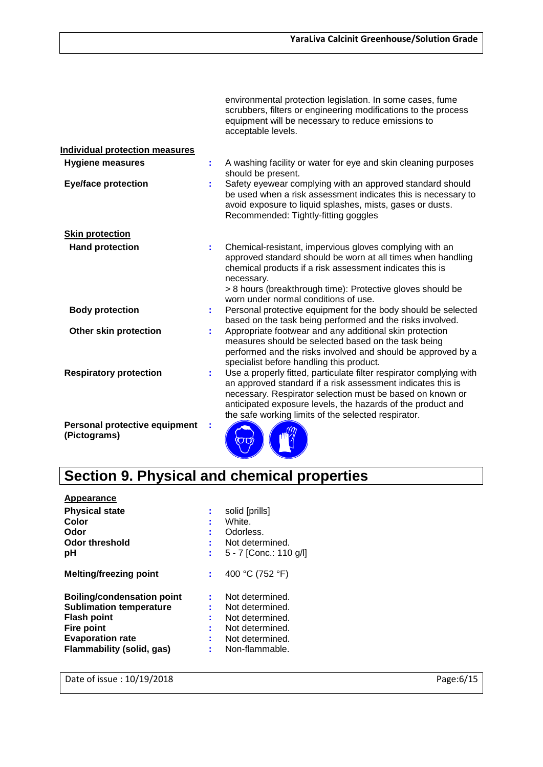|                                               |   | environmental protection legislation. In some cases, fume<br>scrubbers, filters or engineering modifications to the process<br>equipment will be necessary to reduce emissions to<br>acceptable levels.                                                                                                               |
|-----------------------------------------------|---|-----------------------------------------------------------------------------------------------------------------------------------------------------------------------------------------------------------------------------------------------------------------------------------------------------------------------|
| <b>Individual protection measures</b>         |   |                                                                                                                                                                                                                                                                                                                       |
| <b>Hygiene measures</b>                       | ÷ | A washing facility or water for eye and skin cleaning purposes<br>should be present.                                                                                                                                                                                                                                  |
| <b>Eye/face protection</b>                    |   | Safety eyewear complying with an approved standard should<br>be used when a risk assessment indicates this is necessary to<br>avoid exposure to liquid splashes, mists, gases or dusts.<br>Recommended: Tightly-fitting goggles                                                                                       |
| <b>Skin protection</b>                        |   |                                                                                                                                                                                                                                                                                                                       |
| <b>Hand protection</b>                        |   | Chemical-resistant, impervious gloves complying with an<br>approved standard should be worn at all times when handling<br>chemical products if a risk assessment indicates this is<br>necessary.<br>> 8 hours (breakthrough time): Protective gloves should be                                                        |
| <b>Body protection</b>                        | ÷ | worn under normal conditions of use.<br>Personal protective equipment for the body should be selected<br>based on the task being performed and the risks involved.                                                                                                                                                    |
| Other skin protection                         |   | Appropriate footwear and any additional skin protection<br>measures should be selected based on the task being<br>performed and the risks involved and should be approved by a<br>specialist before handling this product.                                                                                            |
| <b>Respiratory protection</b>                 |   | Use a properly fitted, particulate filter respirator complying with<br>an approved standard if a risk assessment indicates this is<br>necessary. Respirator selection must be based on known or<br>anticipated exposure levels, the hazards of the product and<br>the safe working limits of the selected respirator. |
| Personal protective equipment<br>(Pictograms) |   |                                                                                                                                                                                                                                                                                                                       |

# **Section 9. Physical and chemical properties**

| ÷ | solid [prills]         |
|---|------------------------|
|   | White.                 |
| ٠ | Odorless.              |
|   | Not determined.        |
|   | 5 - 7 [Conc.: 110 g/l] |
| ÷ | 400 °C (752 °F)        |
|   | Not determined.        |
|   | Not determined.        |
|   | Not determined.        |
|   | Not determined.        |
| ٠ | Not determined.        |
|   | Non-flammable.         |
|   |                        |

Date of issue : 10/19/2018 Page:6/15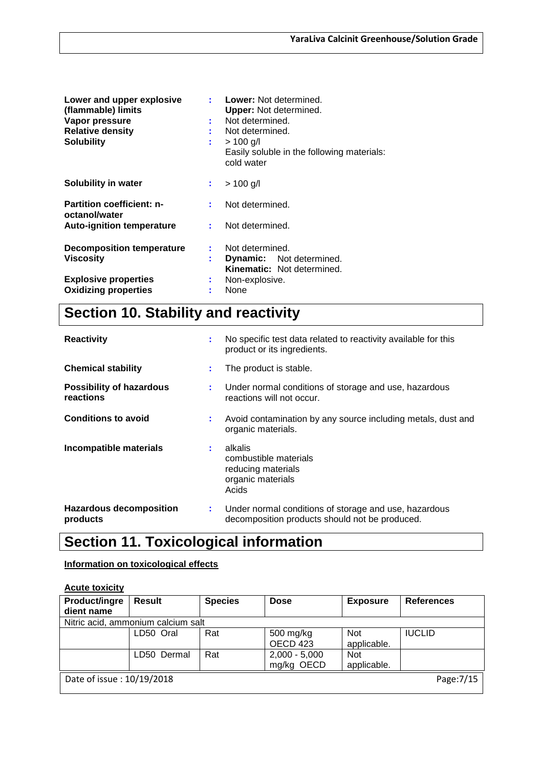| Lower and upper explosive<br>(flammable) limits<br>Vapor pressure<br><b>Relative density</b><br><b>Solubility</b> | ÷.     | <b>Lower:</b> Not determined.<br><b>Upper:</b> Not determined.<br>Not determined.<br>Not determined.<br>$> 100$ g/l<br>Easily soluble in the following materials:<br>cold water |  |  |  |
|-------------------------------------------------------------------------------------------------------------------|--------|---------------------------------------------------------------------------------------------------------------------------------------------------------------------------------|--|--|--|
| Solubility in water                                                                                               | t.     | $> 100$ g/l                                                                                                                                                                     |  |  |  |
| Partition coefficient: n-<br>octanol/water                                                                        | ÷      | Not determined.                                                                                                                                                                 |  |  |  |
| <b>Auto-ignition temperature</b>                                                                                  | ÷      | Not determined.                                                                                                                                                                 |  |  |  |
| <b>Decomposition temperature</b><br><b>Viscosity</b>                                                              | ÷<br>t | Not determined.<br><b>Dynamic:</b> Not determined.<br><b>Kinematic:</b> Not determined.                                                                                         |  |  |  |
| <b>Explosive properties</b>                                                                                       | ÷      | Non-explosive.                                                                                                                                                                  |  |  |  |
| <b>Oxidizing properties</b>                                                                                       | ÷      | None                                                                                                                                                                            |  |  |  |

# **Section 10. Stability and reactivity**

| <b>Reactivity</b>                            | ÷ | No specific test data related to reactivity available for this<br>product or its ingredients.           |  |  |  |  |
|----------------------------------------------|---|---------------------------------------------------------------------------------------------------------|--|--|--|--|
| <b>Chemical stability</b>                    | ÷ | The product is stable.                                                                                  |  |  |  |  |
| <b>Possibility of hazardous</b><br>reactions | ÷ | Under normal conditions of storage and use, hazardous<br>reactions will not occur.                      |  |  |  |  |
| <b>Conditions to avoid</b>                   | ÷ | Avoid contamination by any source including metals, dust and<br>organic materials.                      |  |  |  |  |
| Incompatible materials                       | ÷ | alkalis<br>combustible materials<br>reducing materials<br>organic materials<br>Acids                    |  |  |  |  |
| <b>Hazardous decomposition</b><br>products   | ÷ | Under normal conditions of storage and use, hazardous<br>decomposition products should not be produced. |  |  |  |  |

# **Section 11. Toxicological information**

### **Information on toxicological effects**

### **Acute toxicity**

| <b>Product/ingre</b><br>dient name      | <b>Result</b>                      | <b>Species</b> | <b>Dose</b>                   | <b>Exposure</b>           | <b>References</b> |  |  |
|-----------------------------------------|------------------------------------|----------------|-------------------------------|---------------------------|-------------------|--|--|
|                                         | Nitric acid, ammonium calcium salt |                |                               |                           |                   |  |  |
|                                         | LD50 Oral                          | Rat            | 500 mg/kg<br>OECD 423         | <b>Not</b><br>applicable. | <b>IUCLID</b>     |  |  |
|                                         | LD50 Dermal                        | Rat            | $2,000 - 5,000$<br>mg/kg OECD | <b>Not</b><br>applicable. |                   |  |  |
| Date of issue: 10/19/2018<br>Page: 7/15 |                                    |                |                               |                           |                   |  |  |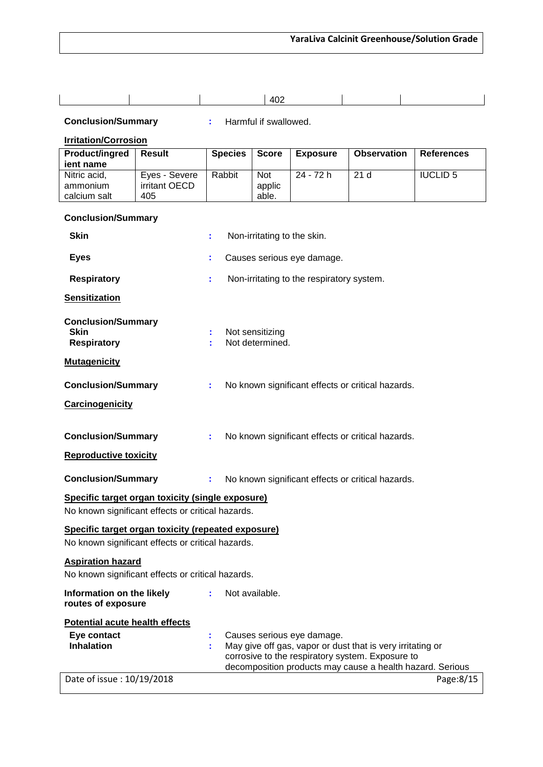|  | 402 |  |
|--|-----|--|

**Conclusion/Summary :** Harmful if swallowed.

### **Irritation/Corrosion**

| Product/ingred | Result        | <b>Species</b> | <b>Score</b> | <b>Exposure</b> | <b>Observation</b> | <b>References</b> |
|----------------|---------------|----------------|--------------|-----------------|--------------------|-------------------|
| ient name      |               |                |              |                 |                    |                   |
| Nitric acid.   | Eyes - Severe | Rabbit         | Not          | 24 - 72 h       | 21 <sub>d</sub>    | <b>IUCLID 5</b>   |
| ammonium       | irritant OECD |                | applic       |                 |                    |                   |
| calcium salt   | 405           |                | able.        |                 |                    |                   |

### **Conclusion/Summary**

| <b>Skin</b>                                                                                             |    | Non-irritating to the skin.                                                                                                                                                                               |
|---------------------------------------------------------------------------------------------------------|----|-----------------------------------------------------------------------------------------------------------------------------------------------------------------------------------------------------------|
| <b>Eyes</b>                                                                                             |    | Causes serious eye damage.                                                                                                                                                                                |
| <b>Respiratory</b>                                                                                      |    | Non-irritating to the respiratory system.                                                                                                                                                                 |
| <b>Sensitization</b>                                                                                    |    |                                                                                                                                                                                                           |
| <b>Conclusion/Summary</b><br><b>Skin</b><br><b>Respiratory</b>                                          |    | Not sensitizing<br>Not determined.                                                                                                                                                                        |
| <b>Mutagenicity</b>                                                                                     |    |                                                                                                                                                                                                           |
| <b>Conclusion/Summary</b>                                                                               | ÷  | No known significant effects or critical hazards.                                                                                                                                                         |
| <b>Carcinogenicity</b>                                                                                  |    |                                                                                                                                                                                                           |
| <b>Conclusion/Summary</b>                                                                               | ÷. | No known significant effects or critical hazards.                                                                                                                                                         |
| <b>Reproductive toxicity</b>                                                                            |    |                                                                                                                                                                                                           |
| <b>Conclusion/Summary</b>                                                                               | ÷. | No known significant effects or critical hazards.                                                                                                                                                         |
| Specific target organ toxicity (single exposure)<br>No known significant effects or critical hazards.   |    |                                                                                                                                                                                                           |
| Specific target organ toxicity (repeated exposure)<br>No known significant effects or critical hazards. |    |                                                                                                                                                                                                           |
| <b>Aspiration hazard</b><br>No known significant effects or critical hazards.                           |    |                                                                                                                                                                                                           |
| Information on the likely<br>routes of exposure                                                         |    | Not available.                                                                                                                                                                                            |
| <b>Potential acute health effects</b>                                                                   |    |                                                                                                                                                                                                           |
| Eye contact<br><b>Inhalation</b>                                                                        |    | Causes serious eye damage.<br>May give off gas, vapor or dust that is very irritating or<br>corrosive to the respiratory system. Exposure to<br>decomposition products may cause a health hazard. Serious |
| Date of issue: 10/19/2018                                                                               |    | Page:8/15                                                                                                                                                                                                 |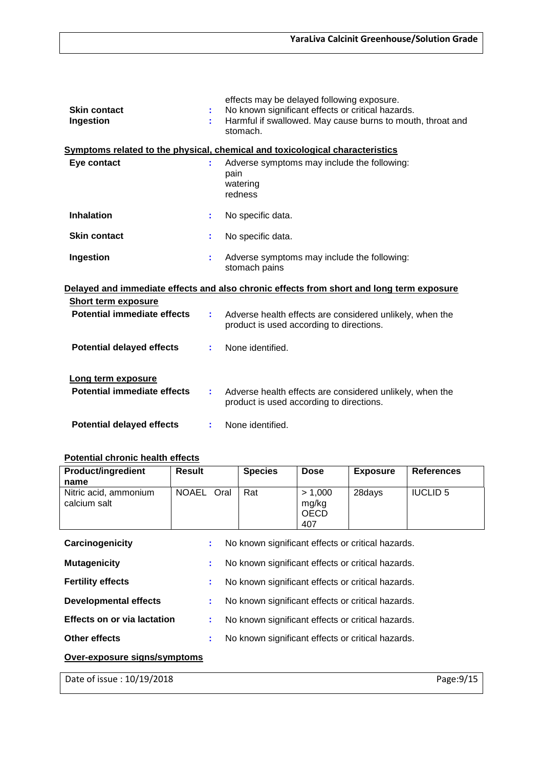| <b>Skin contact</b><br>Ingestion | ÷  | effects may be delayed following exposure.<br>No known significant effects or critical hazards.<br>Harmful if swallowed. May cause burns to mouth, throat and<br>stomach. |  |  |  |
|----------------------------------|----|---------------------------------------------------------------------------------------------------------------------------------------------------------------------------|--|--|--|
|                                  |    | Symptoms related to the physical, chemical and toxicological characteristics                                                                                              |  |  |  |
| Eye contact                      |    | Adverse symptoms may include the following:<br>pain<br>watering<br>redness                                                                                                |  |  |  |
| <b>Inhalation</b>                | ÷. | No specific data.                                                                                                                                                         |  |  |  |
| <b>Skin contact</b>              | ÷  | No specific data.                                                                                                                                                         |  |  |  |
| Ingestion                        |    | Adverse symptoms may include the following:<br>stomach pains                                                                                                              |  |  |  |
|                                  |    | Delayed and immediate effects and also chronic effects from short and long term exposure                                                                                  |  |  |  |
| <b>Short term exposure</b>       |    |                                                                                                                                                                           |  |  |  |
| Potential immediate effects      | t. | Adverse health effects are considered unlikely, when the<br>product is used according to directions.                                                                      |  |  |  |
| <b>Potential delayed effects</b> | ÷. | None identified.                                                                                                                                                          |  |  |  |
| Long term exposure               |    |                                                                                                                                                                           |  |  |  |
| Potential immediate effects      | ÷. | Adverse health effects are considered unlikely, when the<br>product is used according to directions.                                                                      |  |  |  |
| <b>Potential delayed effects</b> | ÷  | None identified.                                                                                                                                                          |  |  |  |

### **Potential chronic health effects**

| <b>Product/ingredient</b>             | <b>Result</b>        | <b>Species</b>                                    | <b>Dose</b>                            | <b>Exposure</b> | <b>References</b> |
|---------------------------------------|----------------------|---------------------------------------------------|----------------------------------------|-----------------|-------------------|
| name                                  |                      |                                                   |                                        |                 |                   |
| Nitric acid, ammonium<br>calcium salt | <b>NOAEL</b><br>Oral | Rat                                               | > 1,000<br>mg/kg<br><b>OECD</b><br>407 | 28days          | <b>IUCLID 5</b>   |
|                                       |                      |                                                   |                                        |                 |                   |
| Carcinogenicity                       | ÷                    | No known significant effects or critical hazards. |                                        |                 |                   |
| <b>Mutagenicity</b>                   | t                    | No known significant effects or critical hazards. |                                        |                 |                   |
| <b>Fertility effects</b>              | ÷                    | No known significant effects or critical hazards. |                                        |                 |                   |
| Developmental effects                 | ÷                    | No known significant effects or critical hazards. |                                        |                 |                   |
| <b>Effects on or via lactation</b>    | ٠<br>٠               | No known significant effects or critical hazards. |                                        |                 |                   |
| Other effects                         | ÷                    | No known significant effects or critical hazards. |                                        |                 |                   |
| Over-exposure signs/symptoms          |                      |                                                   |                                        |                 |                   |

Date of issue : 10/19/2018 Page:9/15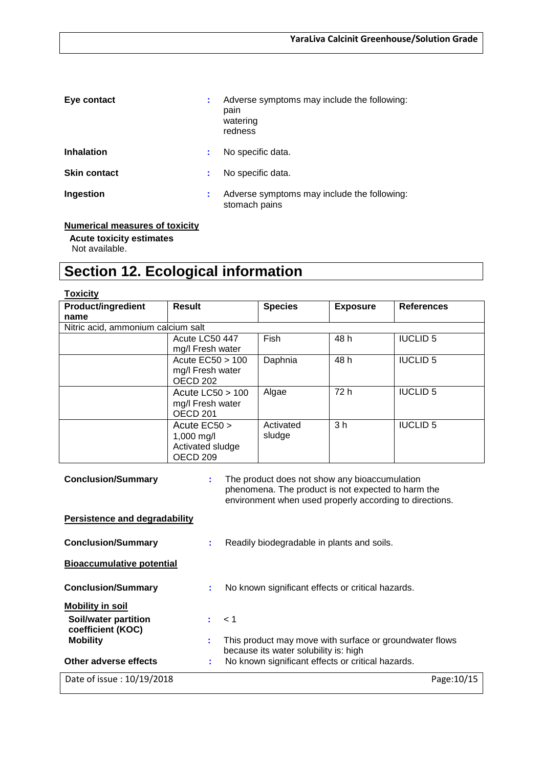| Eye contact         |   | Adverse symptoms may include the following:<br>pain<br>watering<br>redness |
|---------------------|---|----------------------------------------------------------------------------|
| <b>Inhalation</b>   |   | No specific data.                                                          |
| <b>Skin contact</b> | ÷ | No specific data.                                                          |
| Ingestion           | ÷ | Adverse symptoms may include the following:<br>stomach pains               |

### **Numerical measures of toxicity**

 **Acute toxicity estimates** Not available.

# **Section 12. Ecological information**

| жı<br>и | . . | V |
|---------|-----|---|
|         | u   |   |
|         |     |   |

| <b>Product/ingredient</b>          | <b>Result</b>                                                 | <b>Species</b> | <b>Exposure</b> | <b>References</b> |
|------------------------------------|---------------------------------------------------------------|----------------|-----------------|-------------------|
| name                               |                                                               |                |                 |                   |
| Nitric acid, ammonium calcium salt |                                                               |                |                 |                   |
|                                    | Acute LC50 447                                                | <b>Fish</b>    | 48 h            | <b>IUCLID 5</b>   |
|                                    | mg/I Fresh water                                              |                |                 |                   |
|                                    | Acute $EC50 > 100$                                            | Daphnia        | 48 h            | <b>IUCLID 5</b>   |
|                                    | mg/l Fresh water                                              |                |                 |                   |
|                                    | OECD <sub>202</sub>                                           |                |                 |                   |
|                                    | Acute $LC50 > 100$<br>mg/l Fresh water<br>OECD <sub>201</sub> | Algae          | 72 h            | <b>IUCLID 5</b>   |
|                                    | Acute EC50 >                                                  | Activated      | 3 <sub>h</sub>  | <b>IUCLID 5</b>   |
|                                    | 1,000 mg/l                                                    | sludge         |                 |                   |
|                                    | Activated sludge                                              |                |                 |                   |
|                                    | OECD <sub>209</sub>                                           |                |                 |                   |

| <b>Conclusion/Summary</b>                        |   | The product does not show any bioaccumulation<br>phenomena. The product is not expected to harm the<br>environment when used properly according to directions. |             |
|--------------------------------------------------|---|----------------------------------------------------------------------------------------------------------------------------------------------------------------|-------------|
| <b>Persistence and degradability</b>             |   |                                                                                                                                                                |             |
| <b>Conclusion/Summary</b>                        | ÷ | Readily biodegradable in plants and soils.                                                                                                                     |             |
| <b>Bioaccumulative potential</b>                 |   |                                                                                                                                                                |             |
| <b>Conclusion/Summary</b>                        |   | No known significant effects or critical hazards.                                                                                                              |             |
| <b>Mobility in soil</b>                          |   |                                                                                                                                                                |             |
| <b>Soil/water partition</b><br>coefficient (KOC) |   | $\therefore$ < 1                                                                                                                                               |             |
| <b>Mobility</b>                                  | t | This product may move with surface or groundwater flows<br>because its water solubility is: high                                                               |             |
| Other adverse effects                            |   | No known significant effects or critical hazards.                                                                                                              |             |
| Date of issue: 10/19/2018                        |   |                                                                                                                                                                | Page: 10/15 |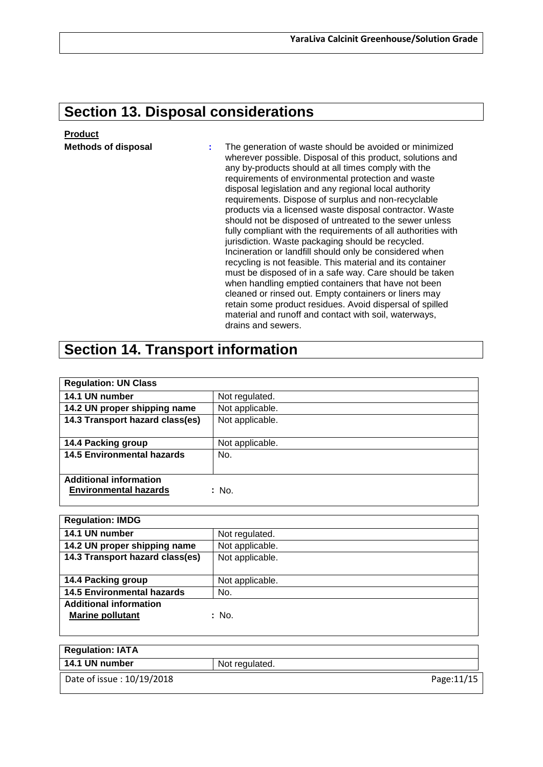# **Section 13. Disposal considerations**

| <b>Product</b>             |                                                                                                                                                                                                                                                                                                                                                                                                                                                                                                                                                                                                                                                                                                                                                                                                                                                                                                                                                                                                                                               |
|----------------------------|-----------------------------------------------------------------------------------------------------------------------------------------------------------------------------------------------------------------------------------------------------------------------------------------------------------------------------------------------------------------------------------------------------------------------------------------------------------------------------------------------------------------------------------------------------------------------------------------------------------------------------------------------------------------------------------------------------------------------------------------------------------------------------------------------------------------------------------------------------------------------------------------------------------------------------------------------------------------------------------------------------------------------------------------------|
| <b>Methods of disposal</b> | The generation of waste should be avoided or minimized<br>wherever possible. Disposal of this product, solutions and<br>any by-products should at all times comply with the<br>requirements of environmental protection and waste<br>disposal legislation and any regional local authority<br>requirements. Dispose of surplus and non-recyclable<br>products via a licensed waste disposal contractor. Waste<br>should not be disposed of untreated to the sewer unless<br>fully compliant with the requirements of all authorities with<br>jurisdiction. Waste packaging should be recycled.<br>Incineration or landfill should only be considered when<br>recycling is not feasible. This material and its container<br>must be disposed of in a safe way. Care should be taken<br>when handling emptied containers that have not been<br>cleaned or rinsed out. Empty containers or liners may<br>retain some product residues. Avoid dispersal of spilled<br>material and runoff and contact with soil, waterways,<br>drains and sewers. |

# **Section 14. Transport information**

| <b>Regulation: UN Class</b>       |                 |
|-----------------------------------|-----------------|
| 14.1 UN number                    | Not regulated.  |
| 14.2 UN proper shipping name      | Not applicable. |
| 14.3 Transport hazard class(es)   | Not applicable. |
|                                   |                 |
| 14.4 Packing group                | Not applicable. |
| <b>14.5 Environmental hazards</b> | No.             |
|                                   |                 |
| <b>Additional information</b>     |                 |
| <b>Environmental hazards</b>      | : No.           |

| <b>Regulation: IMDG</b>           |                 |
|-----------------------------------|-----------------|
| 14.1 UN number                    | Not regulated.  |
| 14.2 UN proper shipping name      | Not applicable. |
| 14.3 Transport hazard class(es)   | Not applicable. |
|                                   |                 |
| 14.4 Packing group                | Not applicable. |
| <b>14.5 Environmental hazards</b> | No.             |
| <b>Additional information</b>     |                 |
| <b>Marine pollutant</b>           | : No.           |
|                                   |                 |

| <b>Regulation: IATA</b>   |                |             |
|---------------------------|----------------|-------------|
| 14.1 UN number            | Not regulated. |             |
| Date of issue: 10/19/2018 |                | Page: 11/15 |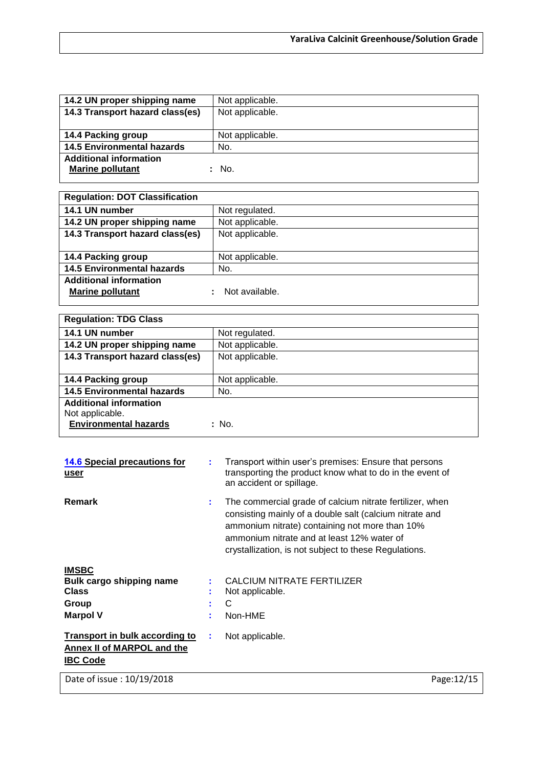| 14.2 UN proper shipping name      | Not applicable. |
|-----------------------------------|-----------------|
| 14.3 Transport hazard class(es)   | Not applicable. |
|                                   |                 |
| 14.4 Packing group                | Not applicable. |
| <b>14.5 Environmental hazards</b> | No.             |
| <b>Additional information</b>     |                 |
| <b>Marine pollutant</b>           | : No.           |

| <b>Regulation: DOT Classification</b> |                 |
|---------------------------------------|-----------------|
| 14.1 UN number                        | Not regulated.  |
| 14.2 UN proper shipping name          | Not applicable. |
| 14.3 Transport hazard class(es)       | Not applicable. |
|                                       |                 |
| 14.4 Packing group                    | Not applicable. |
| <b>14.5 Environmental hazards</b>     | No.             |
| <b>Additional information</b>         |                 |
| <b>Marine pollutant</b>               | Not available.  |
|                                       |                 |

| <b>Regulation: TDG Class</b>      |                 |
|-----------------------------------|-----------------|
| 14.1 UN number                    | Not regulated.  |
| 14.2 UN proper shipping name      | Not applicable. |
| 14.3 Transport hazard class(es)   | Not applicable. |
|                                   |                 |
| 14.4 Packing group                | Not applicable. |
| <b>14.5 Environmental hazards</b> | No.             |
| <b>Additional information</b>     |                 |
| Not applicable.                   |                 |
| <b>Environmental hazards</b>      | : No.           |
|                                   |                 |

| 14.6 Special precautions for<br><u>user</u> |    | Transport within user's premises: Ensure that persons<br>transporting the product know what to do in the event of<br>an accident or spillage.                                                                                                                                |             |
|---------------------------------------------|----|------------------------------------------------------------------------------------------------------------------------------------------------------------------------------------------------------------------------------------------------------------------------------|-------------|
| <b>Remark</b>                               | t. | The commercial grade of calcium nitrate fertilizer, when<br>consisting mainly of a double salt (calcium nitrate and<br>ammonium nitrate) containing not more than 10%<br>ammonium nitrate and at least 12% water of<br>crystallization, is not subject to these Regulations. |             |
| <b>IMSBC</b>                                |    |                                                                                                                                                                                                                                                                              |             |
| <b>Bulk cargo shipping name</b>             |    | CALCIUM NITRATE FERTILIZER                                                                                                                                                                                                                                                   |             |
| <b>Class</b>                                |    | Not applicable.                                                                                                                                                                                                                                                              |             |
| Group                                       |    | C                                                                                                                                                                                                                                                                            |             |
| <b>Marpol V</b>                             |    | Non-HME                                                                                                                                                                                                                                                                      |             |
| Transport in bulk according to              | ÷  | Not applicable.                                                                                                                                                                                                                                                              |             |
| <b>Annex II of MARPOL and the</b>           |    |                                                                                                                                                                                                                                                                              |             |
| <b>IBC Code</b>                             |    |                                                                                                                                                                                                                                                                              |             |
| Date of issue: 10/19/2018                   |    |                                                                                                                                                                                                                                                                              | Page: 12/15 |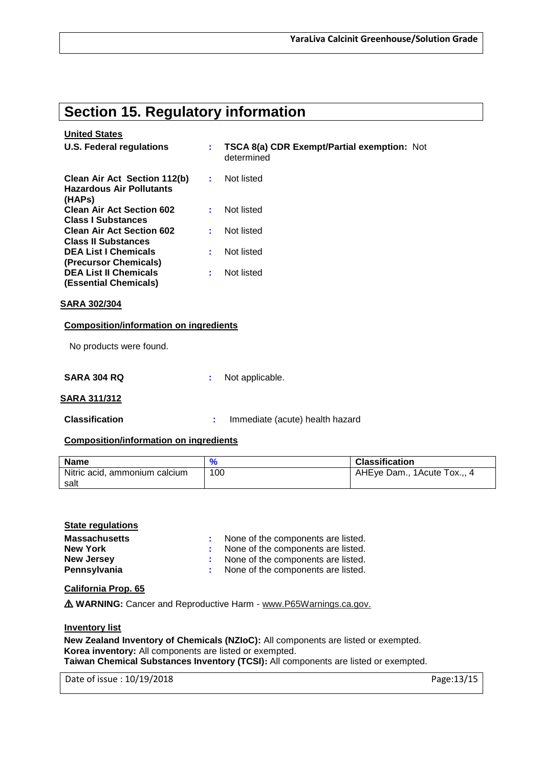## **Section 15. Regulatory information**

### **United States**

| <b>TSCA 8(a) CDR Exempt/Partial exemption: Not</b><br>determined |  |
|------------------------------------------------------------------|--|
| Not listed                                                       |  |
| Not listed                                                       |  |
| Not listed                                                       |  |
| Not listed                                                       |  |
| Not listed                                                       |  |
|                                                                  |  |

#### **SARA 302/304**

### **Composition/information on ingredients**

No products were found.

**SARA 304 RQ :** Not applicable.

#### **SARA 311/312**

**Classification :** Immediate (acute) health hazard

### **Composition/information on ingredients**

| <b>Name</b>                   |     | <b>Classification</b>       |
|-------------------------------|-----|-----------------------------|
| Nitric acid, ammonium calcium | 100 | AHEye Dam., 1Acute Tox.,, 4 |
| salt                          |     |                             |

| <b>State regulations</b> |                                      |
|--------------------------|--------------------------------------|
| <b>Massachusetts</b>     | : None of the components are listed. |
| <b>New York</b>          | : None of the components are listed. |
| New Jersey               | : None of the components are listed. |
| Pennsylvania             | : None of the components are listed. |
|                          |                                      |

#### **California Prop. 65**

⚠ **WARNING:** Cancer and Reproductive Harm - www.P65Warnings.ca.gov.

**Inventory list**

**New Zealand Inventory of Chemicals (NZIoC):** All components are listed or exempted. **Korea inventory:** All components are listed or exempted. **Taiwan Chemical Substances Inventory (TCSI):** All components are listed or exempted.

Date of issue : 10/19/2018 **Page:**13/15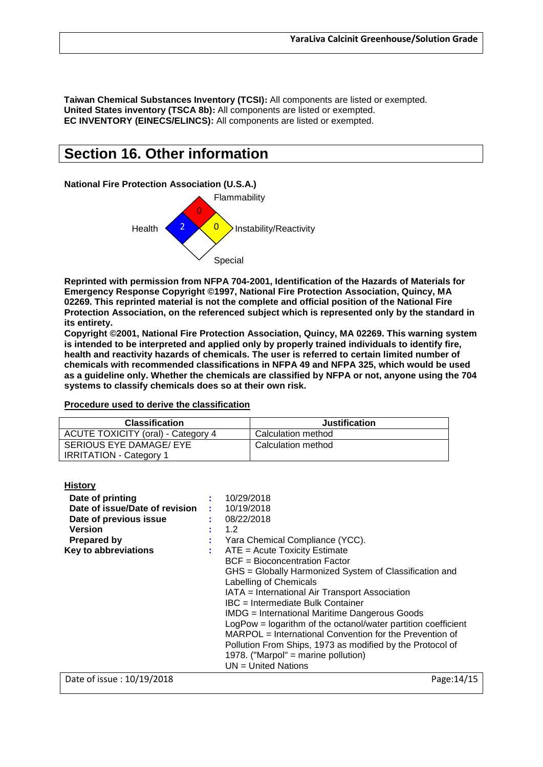**Taiwan Chemical Substances Inventory (TCSI):** All components are listed or exempted. **United States inventory (TSCA 8b):** All components are listed or exempted. **EC INVENTORY (EINECS/ELINCS):** All components are listed or exempted.

### **Section 16. Other information**

**National Fire Protection Association (U.S.A.)**



**Reprinted with permission from NFPA 704-2001, Identification of the Hazards of Materials for Emergency Response Copyright ©1997, National Fire Protection Association, Quincy, MA 02269. This reprinted material is not the complete and official position of the National Fire Protection Association, on the referenced subject which is represented only by the standard in its entirety.**

**Copyright ©2001, National Fire Protection Association, Quincy, MA 02269. This warning system is intended to be interpreted and applied only by properly trained individuals to identify fire, health and reactivity hazards of chemicals. The user is referred to certain limited number of chemicals with recommended classifications in NFPA 49 and NFPA 325, which would be used as a guideline only. Whether the chemicals are classified by NFPA or not, anyone using the 704 systems to classify chemicals does so at their own risk.**

#### **Procedure used to derive the classification**

| <b>Classification</b>                     | <b>Justification</b> |
|-------------------------------------------|----------------------|
| <b>ACUTE TOXICITY (oral) - Category 4</b> | Calculation method   |
| SERIOUS EYE DAMAGE/ EYE                   | Calculation method   |
| <b>IRRITATION - Category 1</b>            |                      |

| Date of printing               | 10/29/2018                                                    |
|--------------------------------|---------------------------------------------------------------|
| Date of issue/Date of revision | 10/19/2018                                                    |
| Date of previous issue         | 08/22/2018                                                    |
| <b>Version</b>                 | 1.2                                                           |
| <b>Prepared by</b>             | Yara Chemical Compliance (YCC).                               |
| Key to abbreviations           | ATE = Acute Toxicity Estimate                                 |
|                                | <b>BCF</b> = Bioconcentration Factor                          |
|                                | GHS = Globally Harmonized System of Classification and        |
|                                | Labelling of Chemicals                                        |
|                                | IATA = International Air Transport Association                |
|                                | IBC = Intermediate Bulk Container                             |
|                                | <b>IMDG</b> = International Maritime Dangerous Goods          |
|                                | LogPow = logarithm of the octanol/water partition coefficient |
|                                | MARPOL = International Convention for the Prevention of       |
|                                | Pollution From Ships, 1973 as modified by the Protocol of     |
|                                | 1978. ("Marpol" = marine pollution)                           |
|                                | $UN = United Nations$                                         |
| Date of issue: 10/19/2018      | Page: 14/15                                                   |